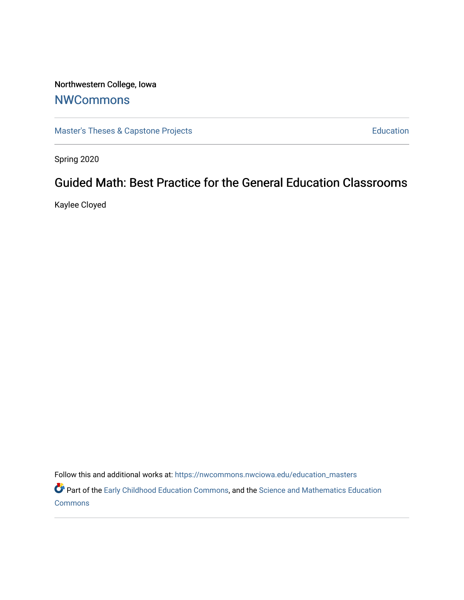# Northwestern College, Iowa

# **[NWCommons](https://nwcommons.nwciowa.edu/)**

[Master's Theses & Capstone Projects](https://nwcommons.nwciowa.edu/education_masters) **Education** Education

Spring 2020

# Guided Math: Best Practice for the General Education Classrooms

Kaylee Cloyed

Follow this and additional works at: [https://nwcommons.nwciowa.edu/education\\_masters](https://nwcommons.nwciowa.edu/education_masters?utm_source=nwcommons.nwciowa.edu%2Feducation_masters%2F194&utm_medium=PDF&utm_campaign=PDFCoverPages)

Part of the [Early Childhood Education Commons,](http://network.bepress.com/hgg/discipline/1377?utm_source=nwcommons.nwciowa.edu%2Feducation_masters%2F194&utm_medium=PDF&utm_campaign=PDFCoverPages) and the [Science and Mathematics Education](http://network.bepress.com/hgg/discipline/800?utm_source=nwcommons.nwciowa.edu%2Feducation_masters%2F194&utm_medium=PDF&utm_campaign=PDFCoverPages)  **[Commons](http://network.bepress.com/hgg/discipline/800?utm_source=nwcommons.nwciowa.edu%2Feducation_masters%2F194&utm_medium=PDF&utm_campaign=PDFCoverPages)**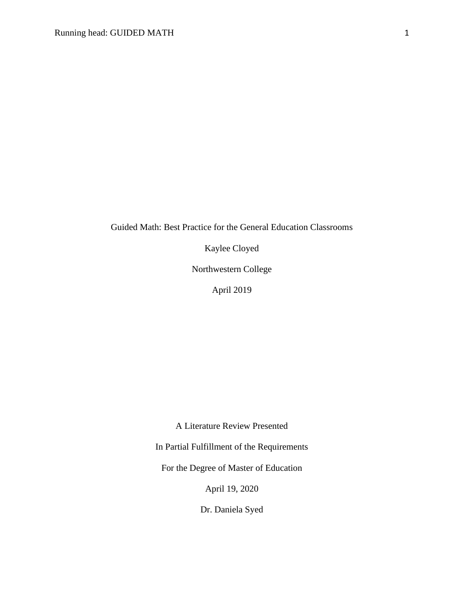## Guided Math: Best Practice for the General Education Classrooms

Kaylee Cloyed

Northwestern College

April 2019

A Literature Review Presented

In Partial Fulfillment of the Requirements

For the Degree of Master of Education

April 19, 2020

Dr. Daniela Syed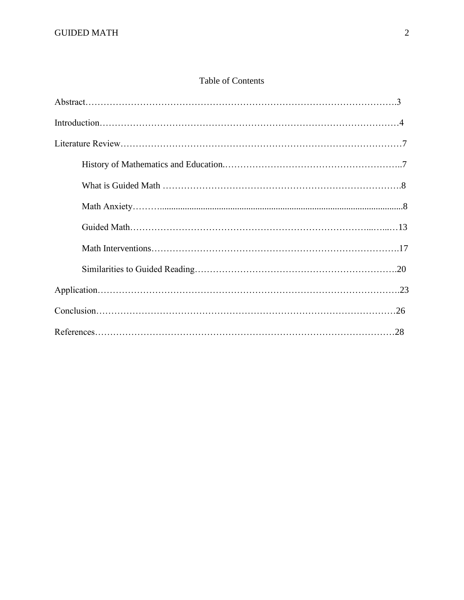## Table of Contents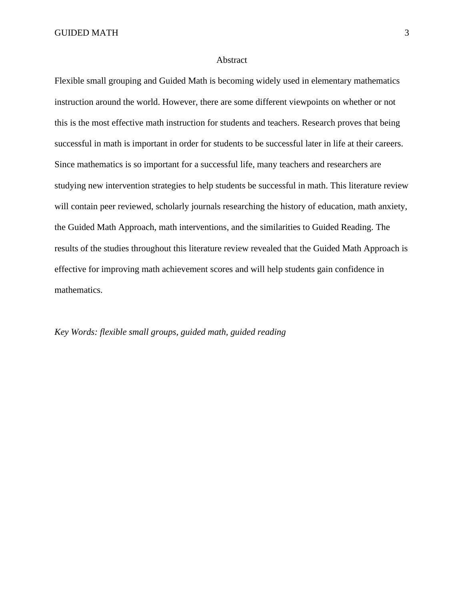#### Abstract

Flexible small grouping and Guided Math is becoming widely used in elementary mathematics instruction around the world. However, there are some different viewpoints on whether or not this is the most effective math instruction for students and teachers. Research proves that being successful in math is important in order for students to be successful later in life at their careers. Since mathematics is so important for a successful life, many teachers and researchers are studying new intervention strategies to help students be successful in math. This literature review will contain peer reviewed, scholarly journals researching the history of education, math anxiety, the Guided Math Approach, math interventions, and the similarities to Guided Reading. The results of the studies throughout this literature review revealed that the Guided Math Approach is effective for improving math achievement scores and will help students gain confidence in mathematics.

### *Key Words: flexible small groups, guided math, guided reading*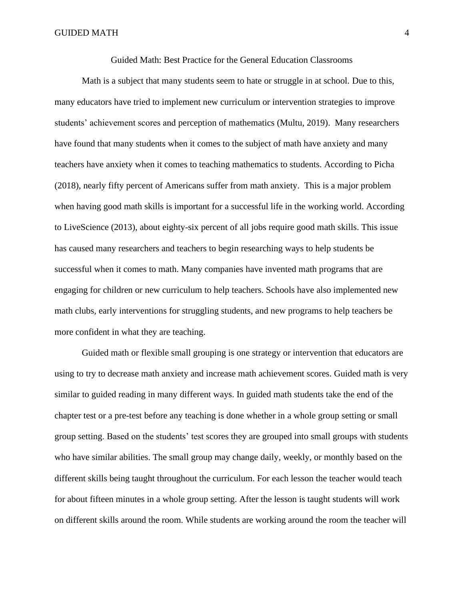Guided Math: Best Practice for the General Education Classrooms

Math is a subject that many students seem to hate or struggle in at school. Due to this, many educators have tried to implement new curriculum or intervention strategies to improve students' achievement scores and perception of mathematics (Multu, 2019). Many researchers have found that many students when it comes to the subject of math have anxiety and many teachers have anxiety when it comes to teaching mathematics to students. According to Picha (2018), nearly fifty percent of Americans suffer from math anxiety. This is a major problem when having good math skills is important for a successful life in the working world. According to LiveScience (2013), about eighty-six percent of all jobs require good math skills. This issue has caused many researchers and teachers to begin researching ways to help students be successful when it comes to math. Many companies have invented math programs that are engaging for children or new curriculum to help teachers. Schools have also implemented new math clubs, early interventions for struggling students, and new programs to help teachers be more confident in what they are teaching.

Guided math or flexible small grouping is one strategy or intervention that educators are using to try to decrease math anxiety and increase math achievement scores. Guided math is very similar to guided reading in many different ways. In guided math students take the end of the chapter test or a pre-test before any teaching is done whether in a whole group setting or small group setting. Based on the students' test scores they are grouped into small groups with students who have similar abilities. The small group may change daily, weekly, or monthly based on the different skills being taught throughout the curriculum. For each lesson the teacher would teach for about fifteen minutes in a whole group setting. After the lesson is taught students will work on different skills around the room. While students are working around the room the teacher will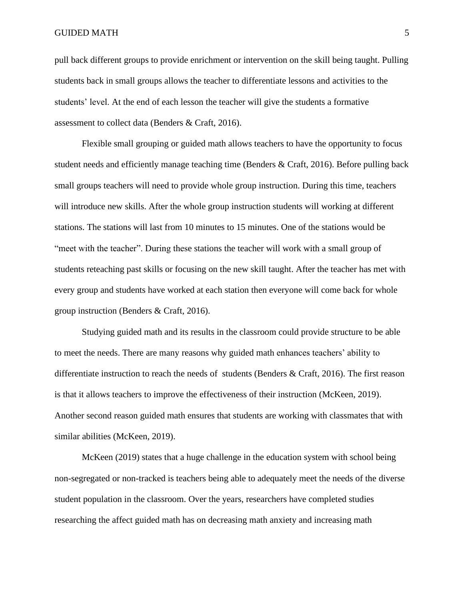pull back different groups to provide enrichment or intervention on the skill being taught. Pulling students back in small groups allows the teacher to differentiate lessons and activities to the students' level. At the end of each lesson the teacher will give the students a formative assessment to collect data (Benders & Craft, 2016).

Flexible small grouping or guided math allows teachers to have the opportunity to focus student needs and efficiently manage teaching time (Benders & Craft, 2016). Before pulling back small groups teachers will need to provide whole group instruction. During this time, teachers will introduce new skills. After the whole group instruction students will working at different stations. The stations will last from 10 minutes to 15 minutes. One of the stations would be "meet with the teacher". During these stations the teacher will work with a small group of students reteaching past skills or focusing on the new skill taught. After the teacher has met with every group and students have worked at each station then everyone will come back for whole group instruction (Benders & Craft, 2016).

Studying guided math and its results in the classroom could provide structure to be able to meet the needs. There are many reasons why guided math enhances teachers' ability to differentiate instruction to reach the needs of students (Benders & Craft, 2016). The first reason is that it allows teachers to improve the effectiveness of their instruction (McKeen, 2019). Another second reason guided math ensures that students are working with classmates that with similar abilities (McKeen, 2019).

McKeen (2019) states that a huge challenge in the education system with school being non-segregated or non-tracked is teachers being able to adequately meet the needs of the diverse student population in the classroom. Over the years, researchers have completed studies researching the affect guided math has on decreasing math anxiety and increasing math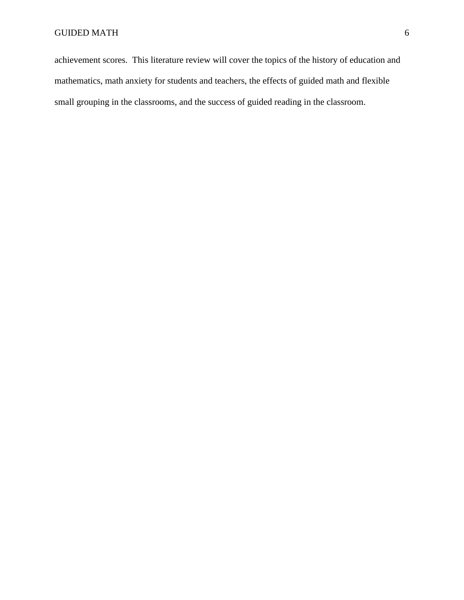achievement scores. This literature review will cover the topics of the history of education and mathematics, math anxiety for students and teachers, the effects of guided math and flexible small grouping in the classrooms, and the success of guided reading in the classroom.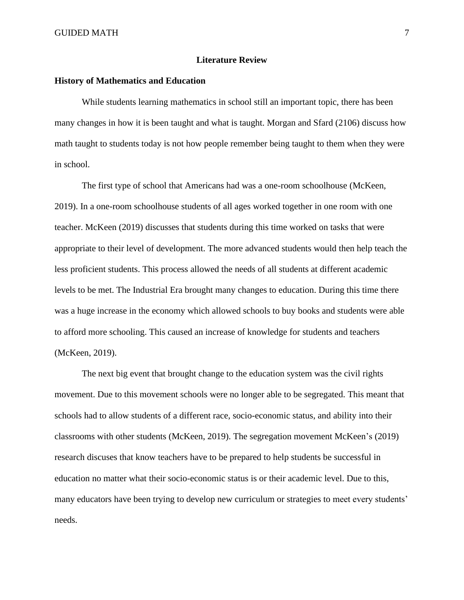#### **Literature Review**

#### **History of Mathematics and Education**

While students learning mathematics in school still an important topic, there has been many changes in how it is been taught and what is taught. Morgan and Sfard (2106) discuss how math taught to students today is not how people remember being taught to them when they were in school.

The first type of school that Americans had was a one-room schoolhouse (McKeen, 2019). In a one-room schoolhouse students of all ages worked together in one room with one teacher. McKeen (2019) discusses that students during this time worked on tasks that were appropriate to their level of development. The more advanced students would then help teach the less proficient students. This process allowed the needs of all students at different academic levels to be met. The Industrial Era brought many changes to education. During this time there was a huge increase in the economy which allowed schools to buy books and students were able to afford more schooling. This caused an increase of knowledge for students and teachers (McKeen, 2019).

The next big event that brought change to the education system was the civil rights movement. Due to this movement schools were no longer able to be segregated. This meant that schools had to allow students of a different race, socio-economic status, and ability into their classrooms with other students (McKeen, 2019). The segregation movement McKeen's (2019) research discuses that know teachers have to be prepared to help students be successful in education no matter what their socio-economic status is or their academic level. Due to this, many educators have been trying to develop new curriculum or strategies to meet every students' needs.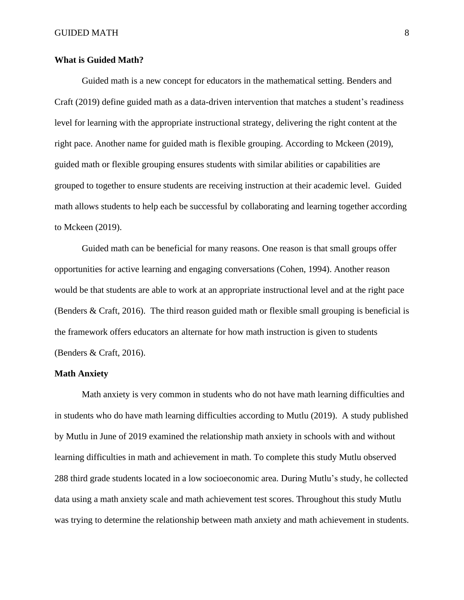#### **What is Guided Math?**

Guided math is a new concept for educators in the mathematical setting. Benders and Craft (2019) define guided math as a data-driven intervention that matches a student's readiness level for learning with the appropriate instructional strategy, delivering the right content at the right pace. Another name for guided math is flexible grouping. According to Mckeen (2019), guided math or flexible grouping ensures students with similar abilities or capabilities are grouped to together to ensure students are receiving instruction at their academic level. Guided math allows students to help each be successful by collaborating and learning together according to Mckeen (2019).

Guided math can be beneficial for many reasons. One reason is that small groups offer opportunities for active learning and engaging conversations (Cohen, 1994). Another reason would be that students are able to work at an appropriate instructional level and at the right pace (Benders & Craft, 2016). The third reason guided math or flexible small grouping is beneficial is the framework offers educators an alternate for how math instruction is given to students (Benders & Craft, 2016).

#### **Math Anxiety**

Math anxiety is very common in students who do not have math learning difficulties and in students who do have math learning difficulties according to Mutlu (2019). A study published by Mutlu in June of 2019 examined the relationship math anxiety in schools with and without learning difficulties in math and achievement in math. To complete this study Mutlu observed 288 third grade students located in a low socioeconomic area. During Mutlu's study, he collected data using a math anxiety scale and math achievement test scores. Throughout this study Mutlu was trying to determine the relationship between math anxiety and math achievement in students.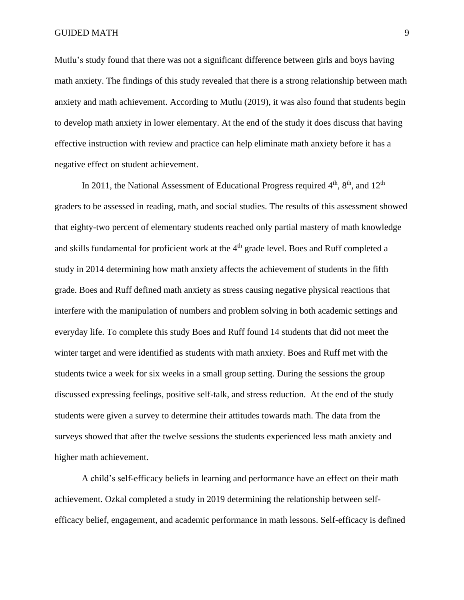Mutlu's study found that there was not a significant difference between girls and boys having math anxiety. The findings of this study revealed that there is a strong relationship between math anxiety and math achievement. According to Mutlu (2019), it was also found that students begin to develop math anxiety in lower elementary. At the end of the study it does discuss that having effective instruction with review and practice can help eliminate math anxiety before it has a negative effect on student achievement.

In 2011, the National Assessment of Educational Progress required  $4<sup>th</sup>$ ,  $8<sup>th</sup>$ , and  $12<sup>th</sup>$ graders to be assessed in reading, math, and social studies. The results of this assessment showed that eighty-two percent of elementary students reached only partial mastery of math knowledge and skills fundamental for proficient work at the  $4<sup>th</sup>$  grade level. Boes and Ruff completed a study in 2014 determining how math anxiety affects the achievement of students in the fifth grade. Boes and Ruff defined math anxiety as stress causing negative physical reactions that interfere with the manipulation of numbers and problem solving in both academic settings and everyday life. To complete this study Boes and Ruff found 14 students that did not meet the winter target and were identified as students with math anxiety. Boes and Ruff met with the students twice a week for six weeks in a small group setting. During the sessions the group discussed expressing feelings, positive self-talk, and stress reduction. At the end of the study students were given a survey to determine their attitudes towards math. The data from the surveys showed that after the twelve sessions the students experienced less math anxiety and higher math achievement.

A child's self-efficacy beliefs in learning and performance have an effect on their math achievement. Ozkal completed a study in 2019 determining the relationship between selfefficacy belief, engagement, and academic performance in math lessons. Self-efficacy is defined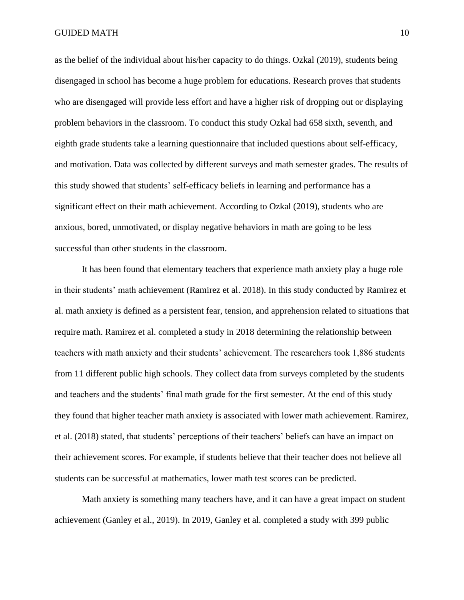as the belief of the individual about his/her capacity to do things. Ozkal (2019), students being disengaged in school has become a huge problem for educations. Research proves that students who are disengaged will provide less effort and have a higher risk of dropping out or displaying problem behaviors in the classroom. To conduct this study Ozkal had 658 sixth, seventh, and eighth grade students take a learning questionnaire that included questions about self-efficacy, and motivation. Data was collected by different surveys and math semester grades. The results of this study showed that students' self-efficacy beliefs in learning and performance has a significant effect on their math achievement. According to Ozkal (2019), students who are anxious, bored, unmotivated, or display negative behaviors in math are going to be less successful than other students in the classroom.

It has been found that elementary teachers that experience math anxiety play a huge role in their students' math achievement (Ramirez et al. 2018). In this study conducted by Ramirez et al. math anxiety is defined as a persistent fear, tension, and apprehension related to situations that require math. Ramirez et al. completed a study in 2018 determining the relationship between teachers with math anxiety and their students' achievement. The researchers took 1,886 students from 11 different public high schools. They collect data from surveys completed by the students and teachers and the students' final math grade for the first semester. At the end of this study they found that higher teacher math anxiety is associated with lower math achievement. Ramirez, et al. (2018) stated, that students' perceptions of their teachers' beliefs can have an impact on their achievement scores. For example, if students believe that their teacher does not believe all students can be successful at mathematics, lower math test scores can be predicted.

Math anxiety is something many teachers have, and it can have a great impact on student achievement (Ganley et al., 2019). In 2019, Ganley et al. completed a study with 399 public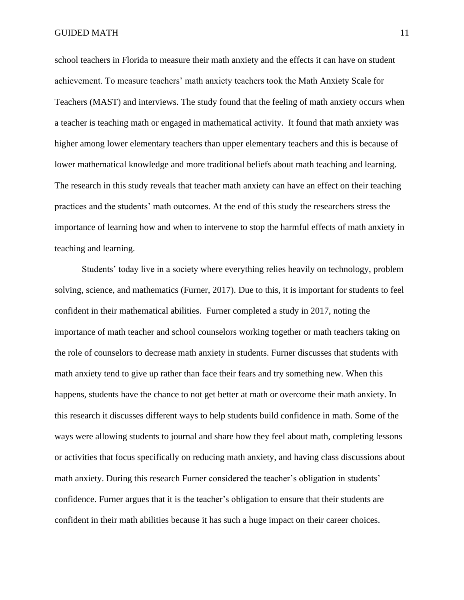school teachers in Florida to measure their math anxiety and the effects it can have on student achievement. To measure teachers' math anxiety teachers took the Math Anxiety Scale for Teachers (MAST) and interviews. The study found that the feeling of math anxiety occurs when a teacher is teaching math or engaged in mathematical activity. It found that math anxiety was higher among lower elementary teachers than upper elementary teachers and this is because of lower mathematical knowledge and more traditional beliefs about math teaching and learning. The research in this study reveals that teacher math anxiety can have an effect on their teaching practices and the students' math outcomes. At the end of this study the researchers stress the importance of learning how and when to intervene to stop the harmful effects of math anxiety in teaching and learning.

Students' today live in a society where everything relies heavily on technology, problem solving, science, and mathematics (Furner, 2017). Due to this, it is important for students to feel confident in their mathematical abilities. Furner completed a study in 2017, noting the importance of math teacher and school counselors working together or math teachers taking on the role of counselors to decrease math anxiety in students. Furner discusses that students with math anxiety tend to give up rather than face their fears and try something new. When this happens, students have the chance to not get better at math or overcome their math anxiety. In this research it discusses different ways to help students build confidence in math. Some of the ways were allowing students to journal and share how they feel about math, completing lessons or activities that focus specifically on reducing math anxiety, and having class discussions about math anxiety. During this research Furner considered the teacher's obligation in students' confidence. Furner argues that it is the teacher's obligation to ensure that their students are confident in their math abilities because it has such a huge impact on their career choices.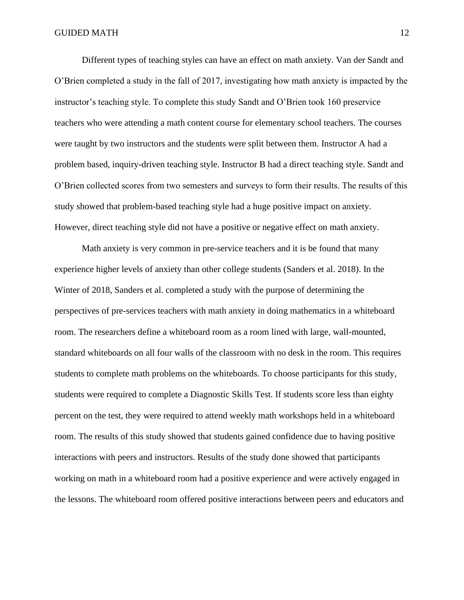Different types of teaching styles can have an effect on math anxiety. Van der Sandt and O'Brien completed a study in the fall of 2017, investigating how math anxiety is impacted by the instructor's teaching style. To complete this study Sandt and O'Brien took 160 preservice teachers who were attending a math content course for elementary school teachers. The courses were taught by two instructors and the students were split between them. Instructor A had a problem based, inquiry-driven teaching style. Instructor B had a direct teaching style. Sandt and O'Brien collected scores from two semesters and surveys to form their results. The results of this study showed that problem-based teaching style had a huge positive impact on anxiety. However, direct teaching style did not have a positive or negative effect on math anxiety.

Math anxiety is very common in pre-service teachers and it is be found that many experience higher levels of anxiety than other college students (Sanders et al. 2018). In the Winter of 2018, Sanders et al. completed a study with the purpose of determining the perspectives of pre-services teachers with math anxiety in doing mathematics in a whiteboard room. The researchers define a whiteboard room as a room lined with large, wall-mounted, standard whiteboards on all four walls of the classroom with no desk in the room. This requires students to complete math problems on the whiteboards. To choose participants for this study, students were required to complete a Diagnostic Skills Test. If students score less than eighty percent on the test, they were required to attend weekly math workshops held in a whiteboard room. The results of this study showed that students gained confidence due to having positive interactions with peers and instructors. Results of the study done showed that participants working on math in a whiteboard room had a positive experience and were actively engaged in the lessons. The whiteboard room offered positive interactions between peers and educators and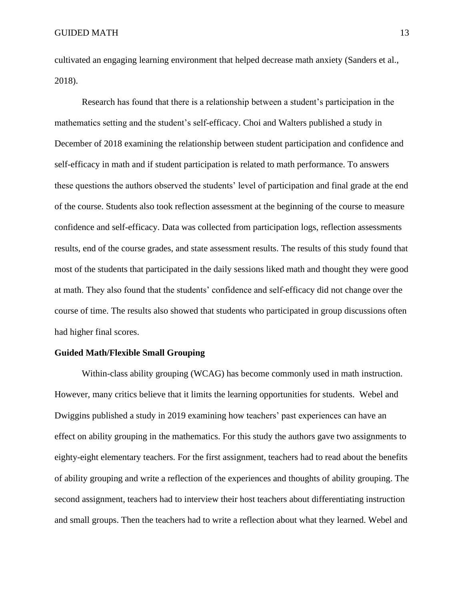cultivated an engaging learning environment that helped decrease math anxiety (Sanders et al., 2018).

Research has found that there is a relationship between a student's participation in the mathematics setting and the student's self-efficacy. Choi and Walters published a study in December of 2018 examining the relationship between student participation and confidence and self-efficacy in math and if student participation is related to math performance. To answers these questions the authors observed the students' level of participation and final grade at the end of the course. Students also took reflection assessment at the beginning of the course to measure confidence and self-efficacy. Data was collected from participation logs, reflection assessments results, end of the course grades, and state assessment results. The results of this study found that most of the students that participated in the daily sessions liked math and thought they were good at math. They also found that the students' confidence and self-efficacy did not change over the course of time. The results also showed that students who participated in group discussions often had higher final scores.

#### **Guided Math/Flexible Small Grouping**

Within-class ability grouping (WCAG) has become commonly used in math instruction. However, many critics believe that it limits the learning opportunities for students. Webel and Dwiggins published a study in 2019 examining how teachers' past experiences can have an effect on ability grouping in the mathematics. For this study the authors gave two assignments to eighty-eight elementary teachers. For the first assignment, teachers had to read about the benefits of ability grouping and write a reflection of the experiences and thoughts of ability grouping. The second assignment, teachers had to interview their host teachers about differentiating instruction and small groups. Then the teachers had to write a reflection about what they learned. Webel and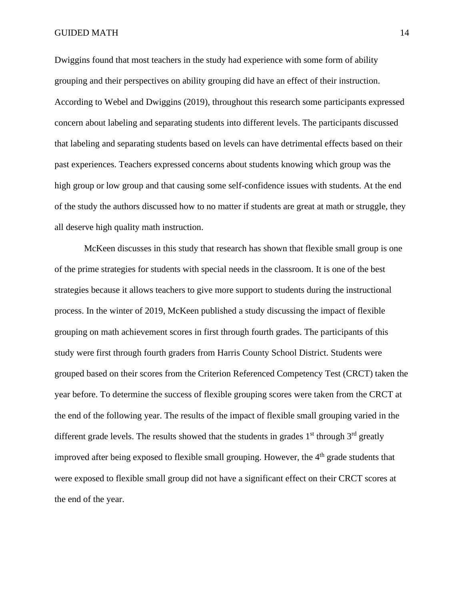Dwiggins found that most teachers in the study had experience with some form of ability grouping and their perspectives on ability grouping did have an effect of their instruction. According to Webel and Dwiggins (2019), throughout this research some participants expressed concern about labeling and separating students into different levels. The participants discussed that labeling and separating students based on levels can have detrimental effects based on their past experiences. Teachers expressed concerns about students knowing which group was the high group or low group and that causing some self-confidence issues with students. At the end of the study the authors discussed how to no matter if students are great at math or struggle, they all deserve high quality math instruction.

McKeen discusses in this study that research has shown that flexible small group is one of the prime strategies for students with special needs in the classroom. It is one of the best strategies because it allows teachers to give more support to students during the instructional process. In the winter of 2019, McKeen published a study discussing the impact of flexible grouping on math achievement scores in first through fourth grades. The participants of this study were first through fourth graders from Harris County School District. Students were grouped based on their scores from the Criterion Referenced Competency Test (CRCT) taken the year before. To determine the success of flexible grouping scores were taken from the CRCT at the end of the following year. The results of the impact of flexible small grouping varied in the different grade levels. The results showed that the students in grades  $1<sup>st</sup>$  through  $3<sup>rd</sup>$  greatly improved after being exposed to flexible small grouping. However, the 4<sup>th</sup> grade students that were exposed to flexible small group did not have a significant effect on their CRCT scores at the end of the year.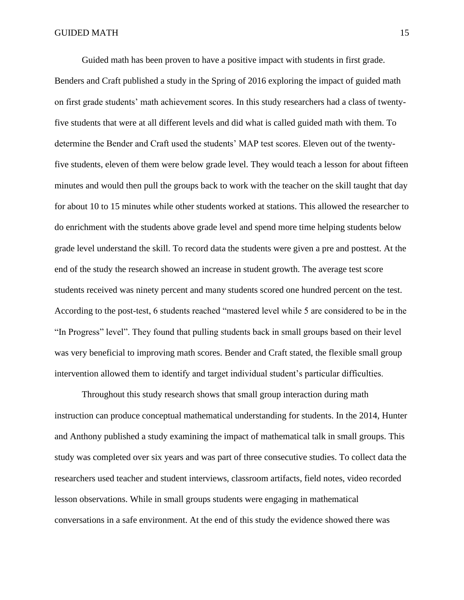Guided math has been proven to have a positive impact with students in first grade.

Benders and Craft published a study in the Spring of 2016 exploring the impact of guided math on first grade students' math achievement scores. In this study researchers had a class of twentyfive students that were at all different levels and did what is called guided math with them. To determine the Bender and Craft used the students' MAP test scores. Eleven out of the twentyfive students, eleven of them were below grade level. They would teach a lesson for about fifteen minutes and would then pull the groups back to work with the teacher on the skill taught that day for about 10 to 15 minutes while other students worked at stations. This allowed the researcher to do enrichment with the students above grade level and spend more time helping students below grade level understand the skill. To record data the students were given a pre and posttest. At the end of the study the research showed an increase in student growth. The average test score students received was ninety percent and many students scored one hundred percent on the test. According to the post-test, 6 students reached "mastered level while 5 are considered to be in the "In Progress" level". They found that pulling students back in small groups based on their level was very beneficial to improving math scores. Bender and Craft stated, the flexible small group intervention allowed them to identify and target individual student's particular difficulties.

Throughout this study research shows that small group interaction during math instruction can produce conceptual mathematical understanding for students. In the 2014, Hunter and Anthony published a study examining the impact of mathematical talk in small groups. This study was completed over six years and was part of three consecutive studies. To collect data the researchers used teacher and student interviews, classroom artifacts, field notes, video recorded lesson observations. While in small groups students were engaging in mathematical conversations in a safe environment. At the end of this study the evidence showed there was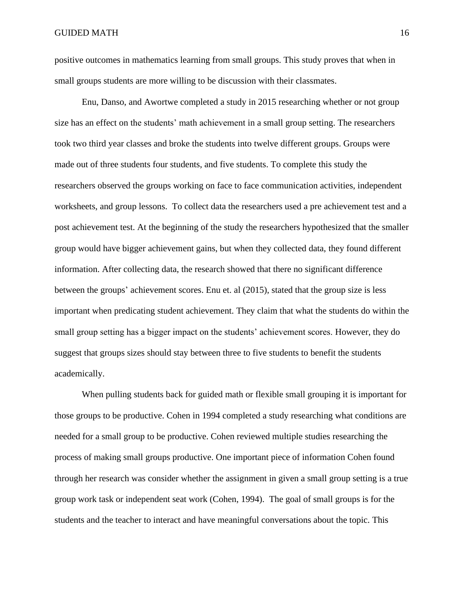positive outcomes in mathematics learning from small groups. This study proves that when in small groups students are more willing to be discussion with their classmates.

Enu, Danso, and Awortwe completed a study in 2015 researching whether or not group size has an effect on the students' math achievement in a small group setting. The researchers took two third year classes and broke the students into twelve different groups. Groups were made out of three students four students, and five students. To complete this study the researchers observed the groups working on face to face communication activities, independent worksheets, and group lessons. To collect data the researchers used a pre achievement test and a post achievement test. At the beginning of the study the researchers hypothesized that the smaller group would have bigger achievement gains, but when they collected data, they found different information. After collecting data, the research showed that there no significant difference between the groups' achievement scores. Enu et. al (2015), stated that the group size is less important when predicating student achievement. They claim that what the students do within the small group setting has a bigger impact on the students' achievement scores. However, they do suggest that groups sizes should stay between three to five students to benefit the students academically.

When pulling students back for guided math or flexible small grouping it is important for those groups to be productive. Cohen in 1994 completed a study researching what conditions are needed for a small group to be productive. Cohen reviewed multiple studies researching the process of making small groups productive. One important piece of information Cohen found through her research was consider whether the assignment in given a small group setting is a true group work task or independent seat work (Cohen, 1994). The goal of small groups is for the students and the teacher to interact and have meaningful conversations about the topic. This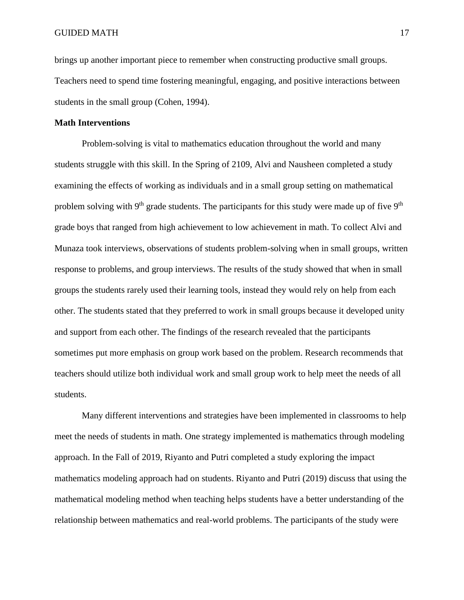brings up another important piece to remember when constructing productive small groups. Teachers need to spend time fostering meaningful, engaging, and positive interactions between students in the small group (Cohen, 1994).

#### **Math Interventions**

Problem-solving is vital to mathematics education throughout the world and many students struggle with this skill. In the Spring of 2109, Alvi and Nausheen completed a study examining the effects of working as individuals and in a small group setting on mathematical problem solving with  $9<sup>th</sup>$  grade students. The participants for this study were made up of five  $9<sup>th</sup>$ grade boys that ranged from high achievement to low achievement in math. To collect Alvi and Munaza took interviews, observations of students problem-solving when in small groups, written response to problems, and group interviews. The results of the study showed that when in small groups the students rarely used their learning tools, instead they would rely on help from each other. The students stated that they preferred to work in small groups because it developed unity and support from each other. The findings of the research revealed that the participants sometimes put more emphasis on group work based on the problem. Research recommends that teachers should utilize both individual work and small group work to help meet the needs of all students.

Many different interventions and strategies have been implemented in classrooms to help meet the needs of students in math. One strategy implemented is mathematics through modeling approach. In the Fall of 2019, Riyanto and Putri completed a study exploring the impact mathematics modeling approach had on students. Riyanto and Putri (2019) discuss that using the mathematical modeling method when teaching helps students have a better understanding of the relationship between mathematics and real-world problems. The participants of the study were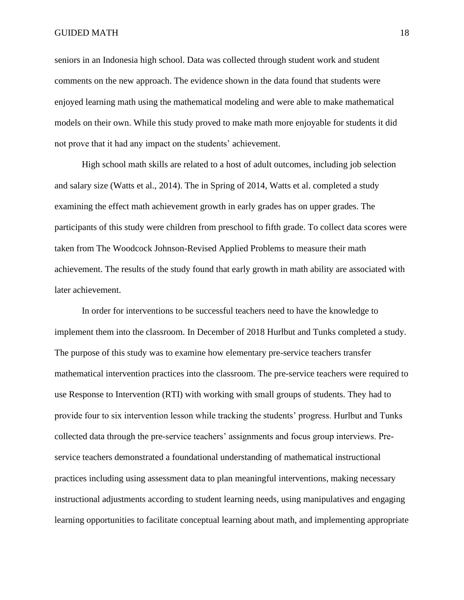#### GUIDED MATH THE STREET STREET IS A STREET OF STREET IS A STREET IS A STREET IS A STREET IS A STREET IS AN ISLAMIC STREET IS A STREET IS A STREET IS A STREET IS A STREET IS A STREET IS AN ISLAMIC STREET IS AN ISLAMIC STREET

seniors in an Indonesia high school. Data was collected through student work and student comments on the new approach. The evidence shown in the data found that students were enjoyed learning math using the mathematical modeling and were able to make mathematical models on their own. While this study proved to make math more enjoyable for students it did not prove that it had any impact on the students' achievement.

High school math skills are related to a host of adult outcomes, including job selection and salary size (Watts et al., 2014). The in Spring of 2014, Watts et al. completed a study examining the effect math achievement growth in early grades has on upper grades. The participants of this study were children from preschool to fifth grade. To collect data scores were taken from The Woodcock Johnson-Revised Applied Problems to measure their math achievement. The results of the study found that early growth in math ability are associated with later achievement.

In order for interventions to be successful teachers need to have the knowledge to implement them into the classroom. In December of 2018 Hurlbut and Tunks completed a study. The purpose of this study was to examine how elementary pre-service teachers transfer mathematical intervention practices into the classroom. The pre-service teachers were required to use Response to Intervention (RTI) with working with small groups of students. They had to provide four to six intervention lesson while tracking the students' progress. Hurlbut and Tunks collected data through the pre-service teachers' assignments and focus group interviews. Preservice teachers demonstrated a foundational understanding of mathematical instructional practices including using assessment data to plan meaningful interventions, making necessary instructional adjustments according to student learning needs, using manipulatives and engaging learning opportunities to facilitate conceptual learning about math, and implementing appropriate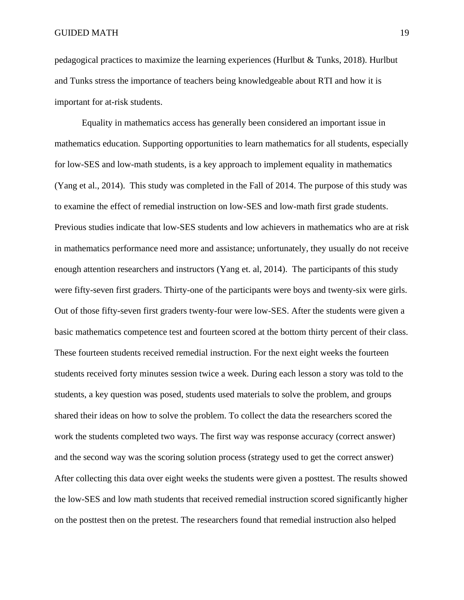pedagogical practices to maximize the learning experiences (Hurlbut & Tunks, 2018). Hurlbut and Tunks stress the importance of teachers being knowledgeable about RTI and how it is important for at-risk students.

Equality in mathematics access has generally been considered an important issue in mathematics education. Supporting opportunities to learn mathematics for all students, especially for low-SES and low-math students, is a key approach to implement equality in mathematics (Yang et al., 2014). This study was completed in the Fall of 2014. The purpose of this study was to examine the effect of remedial instruction on low-SES and low-math first grade students. Previous studies indicate that low-SES students and low achievers in mathematics who are at risk in mathematics performance need more and assistance; unfortunately, they usually do not receive enough attention researchers and instructors (Yang et. al, 2014). The participants of this study were fifty-seven first graders. Thirty-one of the participants were boys and twenty-six were girls. Out of those fifty-seven first graders twenty-four were low-SES. After the students were given a basic mathematics competence test and fourteen scored at the bottom thirty percent of their class. These fourteen students received remedial instruction. For the next eight weeks the fourteen students received forty minutes session twice a week. During each lesson a story was told to the students, a key question was posed, students used materials to solve the problem, and groups shared their ideas on how to solve the problem. To collect the data the researchers scored the work the students completed two ways. The first way was response accuracy (correct answer) and the second way was the scoring solution process (strategy used to get the correct answer) After collecting this data over eight weeks the students were given a posttest. The results showed the low-SES and low math students that received remedial instruction scored significantly higher on the posttest then on the pretest. The researchers found that remedial instruction also helped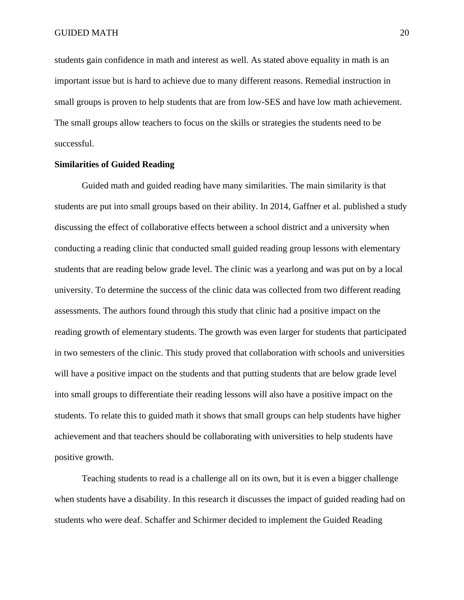students gain confidence in math and interest as well. As stated above equality in math is an important issue but is hard to achieve due to many different reasons. Remedial instruction in small groups is proven to help students that are from low-SES and have low math achievement. The small groups allow teachers to focus on the skills or strategies the students need to be successful.

#### **Similarities of Guided Reading**

Guided math and guided reading have many similarities. The main similarity is that students are put into small groups based on their ability. In 2014, Gaffner et al. published a study discussing the effect of collaborative effects between a school district and a university when conducting a reading clinic that conducted small guided reading group lessons with elementary students that are reading below grade level. The clinic was a yearlong and was put on by a local university. To determine the success of the clinic data was collected from two different reading assessments. The authors found through this study that clinic had a positive impact on the reading growth of elementary students. The growth was even larger for students that participated in two semesters of the clinic. This study proved that collaboration with schools and universities will have a positive impact on the students and that putting students that are below grade level into small groups to differentiate their reading lessons will also have a positive impact on the students. To relate this to guided math it shows that small groups can help students have higher achievement and that teachers should be collaborating with universities to help students have positive growth.

Teaching students to read is a challenge all on its own, but it is even a bigger challenge when students have a disability. In this research it discusses the impact of guided reading had on students who were deaf. Schaffer and Schirmer decided to implement the Guided Reading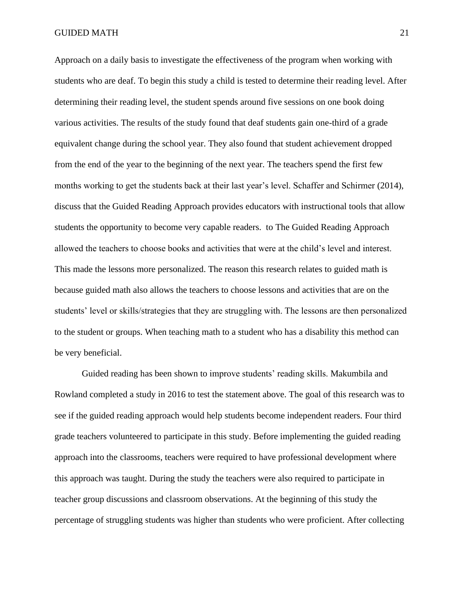Approach on a daily basis to investigate the effectiveness of the program when working with students who are deaf. To begin this study a child is tested to determine their reading level. After determining their reading level, the student spends around five sessions on one book doing various activities. The results of the study found that deaf students gain one-third of a grade equivalent change during the school year. They also found that student achievement dropped from the end of the year to the beginning of the next year. The teachers spend the first few months working to get the students back at their last year's level. Schaffer and Schirmer (2014), discuss that the Guided Reading Approach provides educators with instructional tools that allow students the opportunity to become very capable readers. to The Guided Reading Approach allowed the teachers to choose books and activities that were at the child's level and interest. This made the lessons more personalized. The reason this research relates to guided math is because guided math also allows the teachers to choose lessons and activities that are on the students' level or skills/strategies that they are struggling with. The lessons are then personalized to the student or groups. When teaching math to a student who has a disability this method can be very beneficial.

Guided reading has been shown to improve students' reading skills. Makumbila and Rowland completed a study in 2016 to test the statement above. The goal of this research was to see if the guided reading approach would help students become independent readers. Four third grade teachers volunteered to participate in this study. Before implementing the guided reading approach into the classrooms, teachers were required to have professional development where this approach was taught. During the study the teachers were also required to participate in teacher group discussions and classroom observations. At the beginning of this study the percentage of struggling students was higher than students who were proficient. After collecting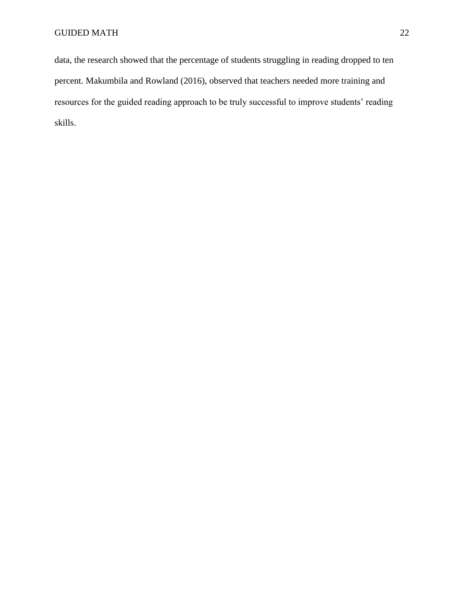data, the research showed that the percentage of students struggling in reading dropped to ten percent. Makumbila and Rowland (2016), observed that teachers needed more training and resources for the guided reading approach to be truly successful to improve students' reading skills.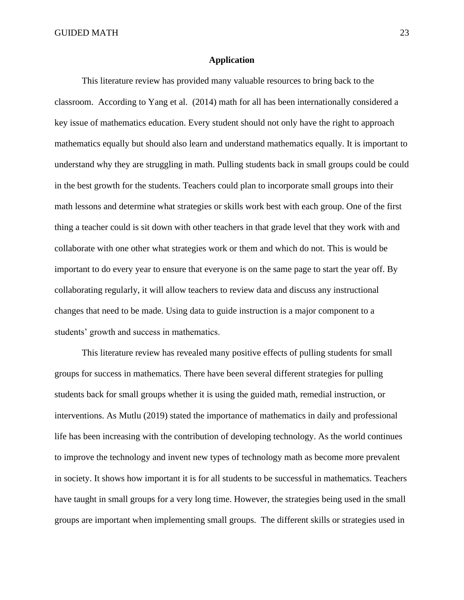#### **Application**

This literature review has provided many valuable resources to bring back to the classroom. According to Yang et al. (2014) math for all has been internationally considered a key issue of mathematics education. Every student should not only have the right to approach mathematics equally but should also learn and understand mathematics equally. It is important to understand why they are struggling in math. Pulling students back in small groups could be could in the best growth for the students. Teachers could plan to incorporate small groups into their math lessons and determine what strategies or skills work best with each group. One of the first thing a teacher could is sit down with other teachers in that grade level that they work with and collaborate with one other what strategies work or them and which do not. This is would be important to do every year to ensure that everyone is on the same page to start the year off. By collaborating regularly, it will allow teachers to review data and discuss any instructional changes that need to be made. Using data to guide instruction is a major component to a students' growth and success in mathematics.

This literature review has revealed many positive effects of pulling students for small groups for success in mathematics. There have been several different strategies for pulling students back for small groups whether it is using the guided math, remedial instruction, or interventions. As Mutlu (2019) stated the importance of mathematics in daily and professional life has been increasing with the contribution of developing technology. As the world continues to improve the technology and invent new types of technology math as become more prevalent in society. It shows how important it is for all students to be successful in mathematics. Teachers have taught in small groups for a very long time. However, the strategies being used in the small groups are important when implementing small groups. The different skills or strategies used in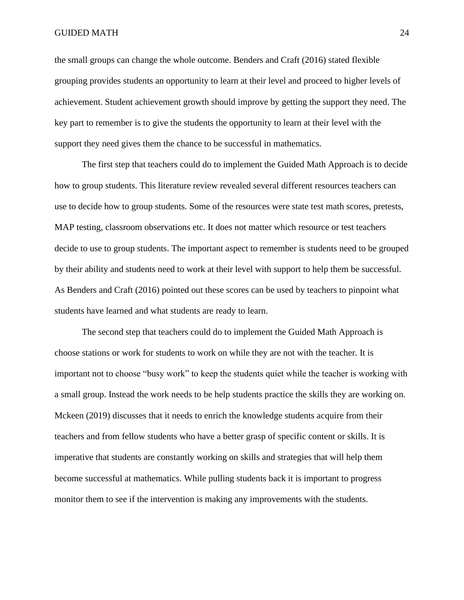the small groups can change the whole outcome. Benders and Craft (2016) stated flexible grouping provides students an opportunity to learn at their level and proceed to higher levels of achievement. Student achievement growth should improve by getting the support they need. The key part to remember is to give the students the opportunity to learn at their level with the support they need gives them the chance to be successful in mathematics.

The first step that teachers could do to implement the Guided Math Approach is to decide how to group students. This literature review revealed several different resources teachers can use to decide how to group students. Some of the resources were state test math scores, pretests, MAP testing, classroom observations etc. It does not matter which resource or test teachers decide to use to group students. The important aspect to remember is students need to be grouped by their ability and students need to work at their level with support to help them be successful. As Benders and Craft (2016) pointed out these scores can be used by teachers to pinpoint what students have learned and what students are ready to learn.

The second step that teachers could do to implement the Guided Math Approach is choose stations or work for students to work on while they are not with the teacher. It is important not to choose "busy work" to keep the students quiet while the teacher is working with a small group. Instead the work needs to be help students practice the skills they are working on. Mckeen (2019) discusses that it needs to enrich the knowledge students acquire from their teachers and from fellow students who have a better grasp of specific content or skills. It is imperative that students are constantly working on skills and strategies that will help them become successful at mathematics. While pulling students back it is important to progress monitor them to see if the intervention is making any improvements with the students.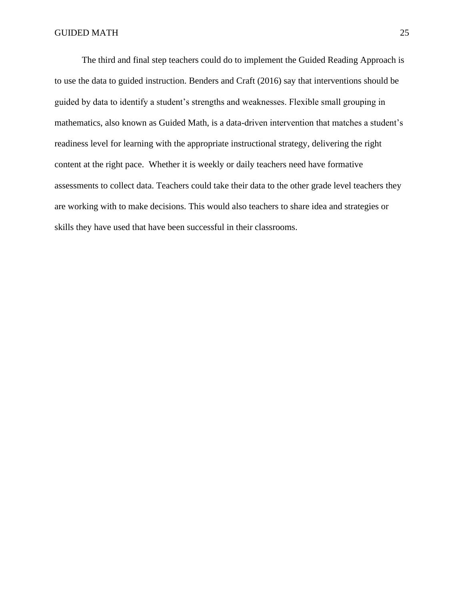The third and final step teachers could do to implement the Guided Reading Approach is to use the data to guided instruction. Benders and Craft (2016) say that interventions should be guided by data to identify a student's strengths and weaknesses. Flexible small grouping in mathematics, also known as Guided Math, is a data-driven intervention that matches a student's readiness level for learning with the appropriate instructional strategy, delivering the right content at the right pace. Whether it is weekly or daily teachers need have formative assessments to collect data. Teachers could take their data to the other grade level teachers they are working with to make decisions. This would also teachers to share idea and strategies or skills they have used that have been successful in their classrooms.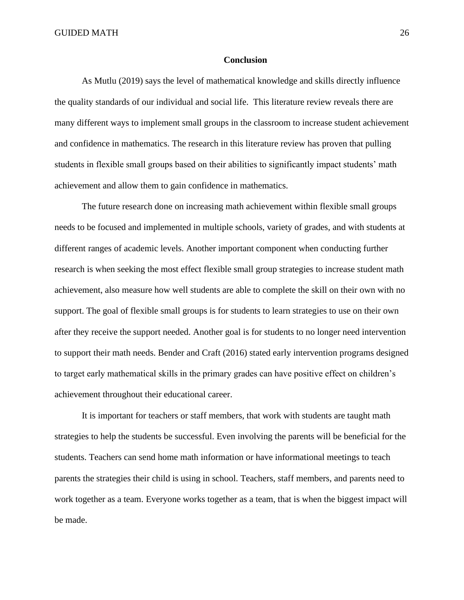#### **Conclusion**

As Mutlu (2019) says the level of mathematical knowledge and skills directly influence the quality standards of our individual and social life. This literature review reveals there are many different ways to implement small groups in the classroom to increase student achievement and confidence in mathematics. The research in this literature review has proven that pulling students in flexible small groups based on their abilities to significantly impact students' math achievement and allow them to gain confidence in mathematics.

The future research done on increasing math achievement within flexible small groups needs to be focused and implemented in multiple schools, variety of grades, and with students at different ranges of academic levels. Another important component when conducting further research is when seeking the most effect flexible small group strategies to increase student math achievement, also measure how well students are able to complete the skill on their own with no support. The goal of flexible small groups is for students to learn strategies to use on their own after they receive the support needed. Another goal is for students to no longer need intervention to support their math needs. Bender and Craft (2016) stated early intervention programs designed to target early mathematical skills in the primary grades can have positive effect on children's achievement throughout their educational career.

It is important for teachers or staff members, that work with students are taught math strategies to help the students be successful. Even involving the parents will be beneficial for the students. Teachers can send home math information or have informational meetings to teach parents the strategies their child is using in school. Teachers, staff members, and parents need to work together as a team. Everyone works together as a team, that is when the biggest impact will be made.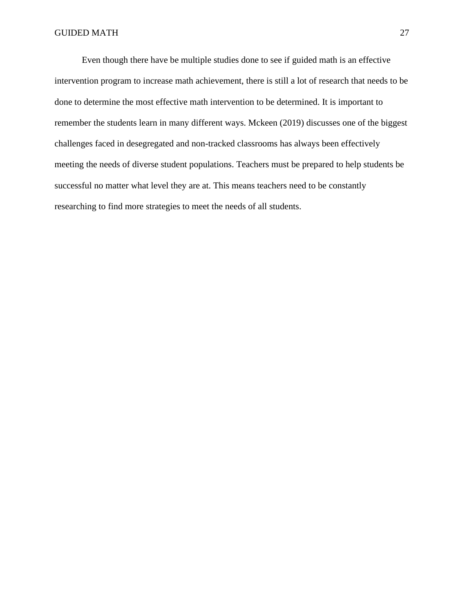Even though there have be multiple studies done to see if guided math is an effective intervention program to increase math achievement, there is still a lot of research that needs to be done to determine the most effective math intervention to be determined. It is important to remember the students learn in many different ways. Mckeen (2019) discusses one of the biggest challenges faced in desegregated and non-tracked classrooms has always been effectively meeting the needs of diverse student populations. Teachers must be prepared to help students be successful no matter what level they are at. This means teachers need to be constantly researching to find more strategies to meet the needs of all students.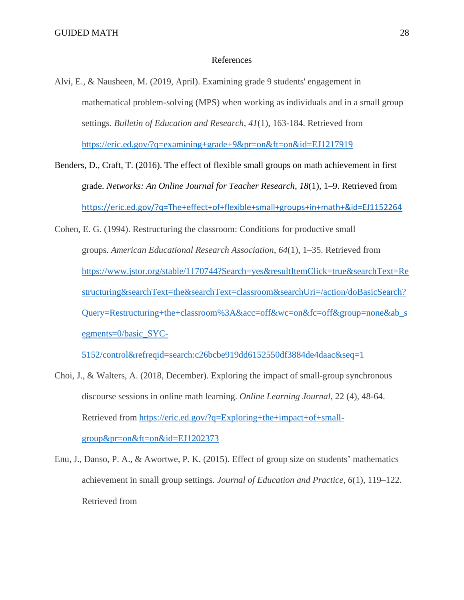#### References

- Alvi, E., & Nausheen, M. (2019, April). Examining grade 9 students' engagement in mathematical problem-solving (MPS) when working as individuals and in a small group settings. *Bulletin of Education and Research*, *41*(1), 163-184. Retrieved from [https://eric.ed.gov/?q=examining+grade+9&pr=on&ft=on&id=EJ1217919](about:blank)
- Benders, D., Craft, T. (2016). The effect of flexible small groups on math achievement in first grade. *Networks: An Online Journal for Teacher Research*, *18*(1), 1–9. Retrieved from [https://eric.ed.gov/?q=The+effect+of+flexible+small+groups+in+math+&id=EJ1152264](about:blank)
- Cohen, E. G. (1994). Restructuring the classroom: Conditions for productive small groups. *American Educational Research Association*, *64*(1), 1–35. Retrieved from [https://www.jstor.org/stable/1170744?Search=yes&resultItemClick=true&searchText=Re](about:blank) [structuring&searchText=the&searchText=classroom&searchUri=/action/doBasicSearch?](about:blank) [Query=Restructuring+the+classroom%3A&acc=off&wc=on&fc=off&group=none&ab\\_s](about:blank) [egments=0/basic\\_SYC-](about:blank)

[5152/control&refreqid=search:c26bcbe919dd6152550df3884de4daac&seq=1](about:blank)

- Choi, J., & Walters, A. (2018, December). Exploring the impact of small-group synchronous discourse sessions in online math learning. *Online Learning Journal,* 22 (4), 48-64. Retrieved from [https://eric.ed.gov/?q=Exploring+the+impact+of+small](about:blank)[group&pr=on&ft=on&id=EJ1202373](about:blank)
- Enu, J., Danso, P. A., & Awortwe, P. K. (2015). Effect of group size on students' mathematics achievement in small group settings. *Journal of Education and Practice*, *6*(1), 119–122. Retrieved from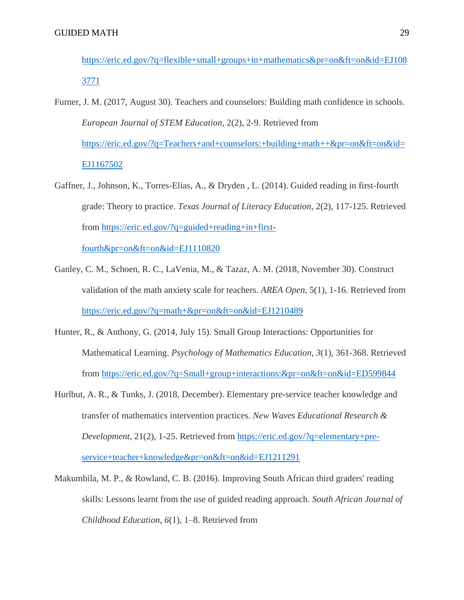- [https://eric.ed.gov/?q=flexible+small+groups+in+mathematics&pr=on&ft=on&id=EJ108](about:blank) [3771](about:blank)
- Furner, J. M. (2017, August 30). Teachers and counselors: Building math confidence in schools. *European Journal of STEM Education,* 2(2), 2-9. Retrieved from [https://eric.ed.gov/?q=Teachers+and+counselors:+building+math++&pr=on&ft=on&id=](about:blank) [EJ1167502](about:blank)
- Gaffner, J., Johnson, K., Torres-Elias, A., & Dryden , L. (2014). Guided reading in first-fourth grade: Theory to practice. *Texas Journal of Literacy Education,* 2(2), 117-125. Retrieved from [https://eric.ed.gov/?q=guided+reading+in+first-](about:blank)

[fourth&pr=on&ft=on&id=EJ1110820](about:blank)

- Ganley, C. M., Schoen, R. C., LaVenia, M., & Tazaz, A. M. (2018, November 30). Construct validation of the math anxiety scale for teachers. *AREA Open*, 5(1), 1-16. Retrieved from [https://eric.ed.gov/?q=math+&pr=on&ft=on&id=EJ1210489](about:blank)
- Hunter, R., & Anthony, G. (2014, July 15). Small Group Interactions: Opportunities for Mathematical Learning. *Psychology of Mathematics Education, 3*(1), 361-368. Retrieved from [https://eric.ed.gov/?q=Small+group+interactions:&pr=on&ft=on&id=ED599844](about:blank)
- Hurlbut, A. R., & Tunks, J. (2018, December). Elementary pre-service teacher knowledge and transfer of mathematics intervention practices. *New Waves Educational Research & Development,* 21(2), 1-25. Retrieved from [https://eric.ed.gov/?q=elementary+pre](about:blank)[service+teacher+knowledge&pr=on&ft=on&id=EJ1211291](about:blank)
- Makumbila, M. P., & Rowland, C. B. (2016). Improving South African third graders' reading skills: Lessons learnt from the use of guided reading approach. *South African Journal of Childhood Education*, *6*(1), 1–8. Retrieved from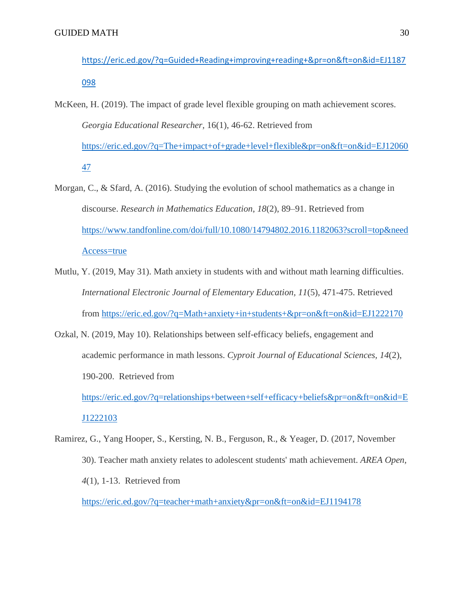- [https://eric.ed.gov/?q=Guided+Reading+improving+reading+&pr=on&ft=on&id=EJ1187](about:blank) [098](about:blank)
- McKeen, H. (2019). The impact of grade level flexible grouping on math achievement scores. *Georgia Educational Researcher,* 16(1), 46-62. Retrieved from [https://eric.ed.gov/?q=The+impact+of+grade+level+flexible&pr=on&ft=on&id=EJ12060](about:blank) [47](about:blank)
- Morgan, C., & Sfard, A. (2016). Studying the evolution of school mathematics as a change in discourse. *Research in Mathematics Education*, *18*(2), 89–91. Retrieved from [https://www.tandfonline.com/doi/full/10.1080/14794802.2016.1182063?scroll=top&need](about:blank) [Access=true](about:blank)
- Mutlu, Y. (2019, May 31). Math anxiety in students with and without math learning difficulties. *International Electronic Journal of Elementary Education, 11*(5), 471-475. Retrieved from [https://eric.ed.gov/?q=Math+anxiety+in+students+&pr=on&ft=on&id=EJ1222170](about:blank)
- Ozkal, N. (2019, May 10). Relationships between self-efficacy beliefs, engagement and academic performance in math lessons. *Cyproit Journal of Educational Sciences, 14*(2), 190-200. Retrieved from

[https://eric.ed.gov/?q=relationships+between+self+efficacy+beliefs&pr=on&ft=on&id=E](about:blank) [J1222103](about:blank)

Ramirez, G., Yang Hooper, S., Kersting, N. B., Ferguson, R., & Yeager, D. (2017, November 30). Teacher math anxiety relates to adolescent students' math achievement. *AREA Open, 4*(1), 1-13. Retrieved from

[https://eric.ed.gov/?q=teacher+math+anxiety&pr=on&ft=on&id=EJ1194178](about:blank)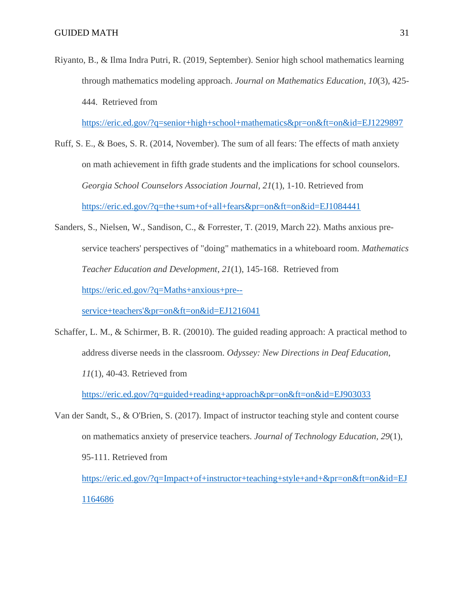Riyanto, B., & Ilma Indra Putri, R. (2019, September). Senior high school mathematics learning through mathematics modeling approach. *Journal on Mathematics Education*, *10*(3), 425- 444. Retrieved from

[https://eric.ed.gov/?q=senior+high+school+mathematics&pr=on&ft=on&id=EJ1229897](about:blank)

- Ruff, S. E., & Boes, S. R. (2014, November). The sum of all fears: The effects of math anxiety on math achievement in fifth grade students and the implications for school counselors. *Georgia School Counselors Association Journal, 21*(1), 1-10. Retrieved from [https://eric.ed.gov/?q=the+sum+of+all+fears&pr=on&ft=on&id=EJ1084441](about:blank)
- Sanders, S., Nielsen, W., Sandison, C., & Forrester, T. (2019, March 22). Maths anxious preservice teachers' perspectives of "doing" mathematics in a whiteboard room. *Mathematics Teacher Education and Development*, *21*(1), 145-168. Retrieved from [https://eric.ed.gov/?q=Maths+anxious+pre--](about:blank)

[service+teachers'&pr=on&ft=on&id=EJ1216041](about:blank)

Schaffer, L. M., & Schirmer, B. R. (20010). The guided reading approach: A practical method to address diverse needs in the classroom. *Odyssey: New Directions in Deaf Education*, *11*(1), 40-43. Retrieved from

[https://eric.ed.gov/?q=guided+reading+approach&pr=on&ft=on&id=EJ903033](about:blank)

Van der Sandt, S., & O'Brien, S. (2017). Impact of instructor teaching style and content course on mathematics anxiety of preservice teachers. *Journal of Technology Education, 29*(1), 95-111. Retrieved from

[https://eric.ed.gov/?q=Impact+of+instructor+teaching+style+and+&pr=on&ft=on&id=EJ](about:blank) [1164686](about:blank)